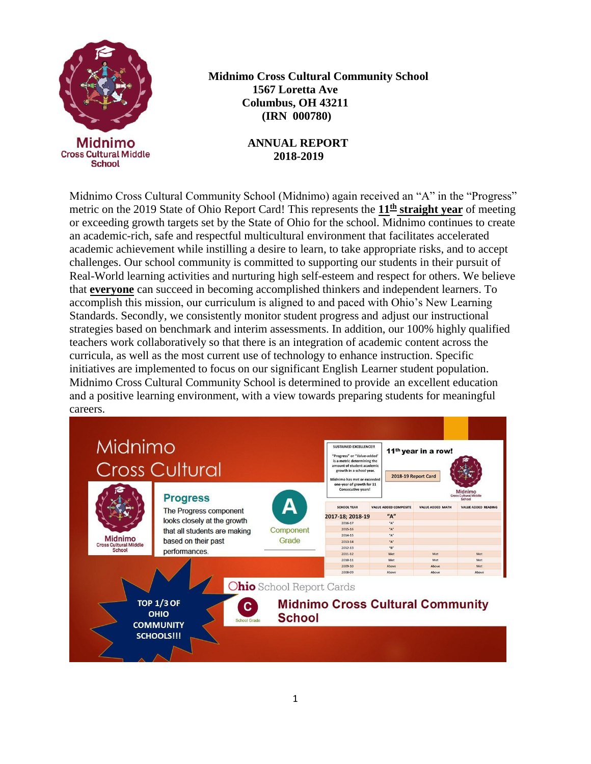

**6 Midnimo Cross Cultural Community School 1567 Loretta Ave Columbus, OH 43211 (IRN 000780)**

#### **ANNUAL REPORT 2018-2019**

Midnimo Cross Cultural Community School (Midnimo) again received an "A" in the "Progress" metric on the 2019 State of Ohio Report Card! This represents the **11th straight year** of meeting or exceeding growth targets set by the State of Ohio for the school. Midnimo continues to create an academic-rich, safe and respectful multicultural environment that facilitates accelerated academic achievement while instilling a desire to learn, to take appropriate risks, and to accept challenges. Our school community is committed to supporting our students in their pursuit of Real-World learning activities and nurturing high self-esteem and respect for others. We believe that **everyone** can succeed in becoming accomplished thinkers and independent learners. To accomplish this mission, our curriculum is aligned to and paced with Ohio's New Learning Standards. Secondly, we consistently monitor student progress and adjust our instructional strategies based on benchmark and interim assessments. In addition, our 100% highly qualified teachers work collaboratively so that there is an integration of academic content across the curricula, as well as the most current use of technology to enhance instruction. Specific initiatives are implemented to focus on our significant English Learner student population. Midnimo Cross Cultural Community School is determined to provide an excellent education and a positive learning environment, with a view towards preparing students for meaningful careers.

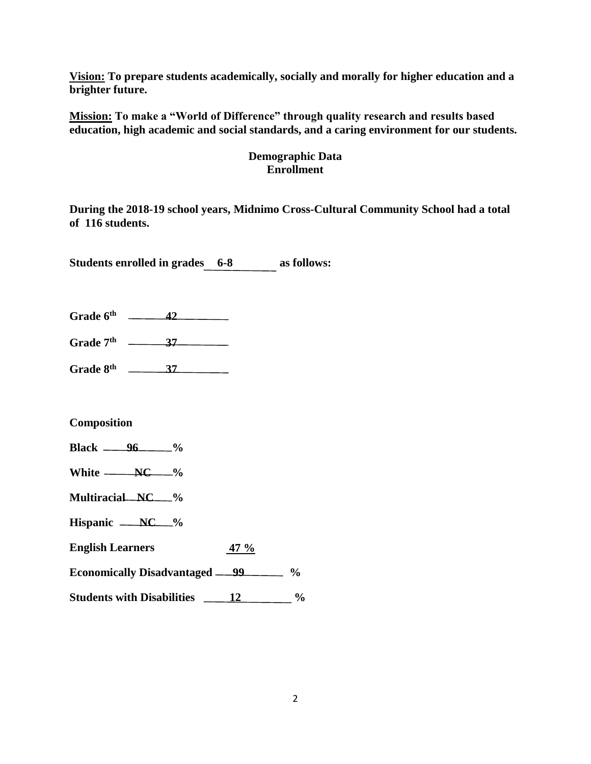**Vision: To prepare students academically, socially and morally for higher education and a brighter future.**

**Mission: To make a "World of Difference" through quality research and results based education, high academic and social standards, and a caring environment for our students.**

## **Demographic Data Enrollment**

**During the 2018-19 school years, Midnimo Cross-Cultural Community School had a total of 116 students.**

**Students enrolled in grades 6-8 as follows:**

**Grade 6th 42**

**Grade 7th 37**

**Grade 8th 37**

#### **Composition**

- **Black 96 %**
- **White NC**  $\frac{0}{6}$
- **Multiracial NC %**
- Hispanic <u>NC</u> %
- **English Learners 47 %**
- **Economically Disadvantaged 99 %**
- **Students with Disabilities 12 %**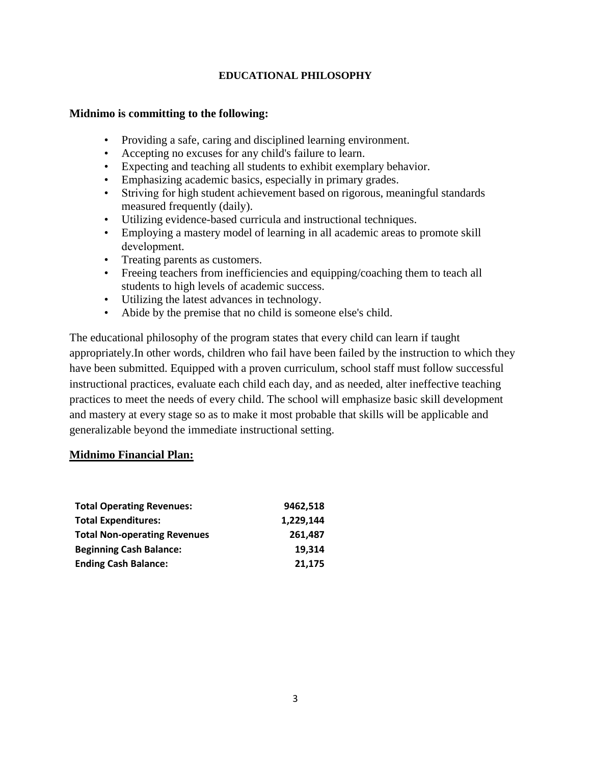#### **EDUCATIONAL PHILOSOPHY**

#### **Midnimo is committing to the following:**

- Providing a safe, caring and disciplined learning environment.
- Accepting no excuses for any child's failure to learn.
- Expecting and teaching all students to exhibit exemplary behavior.
- Emphasizing academic basics, especially in primary grades.
- Striving for high student achievement based on rigorous, meaningful standards measured frequently (daily).
- Utilizing evidence-based curricula and instructional techniques.
- Employing a mastery model of learning in all academic areas to promote skill development.
- Treating parents as customers.
- Freeing teachers from inefficiencies and equipping/coaching them to teach all students to high levels of academic success.
- Utilizing the latest advances in technology.
- Abide by the premise that no child is someone else's child.

The educational philosophy of the program states that every child can learn if taught appropriately.In other words, children who fail have been failed by the instruction to which they have been submitted. Equipped with a proven curriculum, school staff must follow successful instructional practices, evaluate each child each day, and as needed, alter ineffective teaching practices to meet the needs of every child. The school will emphasize basic skill development and mastery at every stage so as to make it most probable that skills will be applicable and generalizable beyond the immediate instructional setting.

### **Midnimo Financial Plan:**

| <b>Total Operating Revenues:</b>    | 9462,518  |
|-------------------------------------|-----------|
| <b>Total Expenditures:</b>          | 1,229,144 |
| <b>Total Non-operating Revenues</b> | 261,487   |
| <b>Beginning Cash Balance:</b>      | 19.314    |
| <b>Ending Cash Balance:</b>         | 21,175    |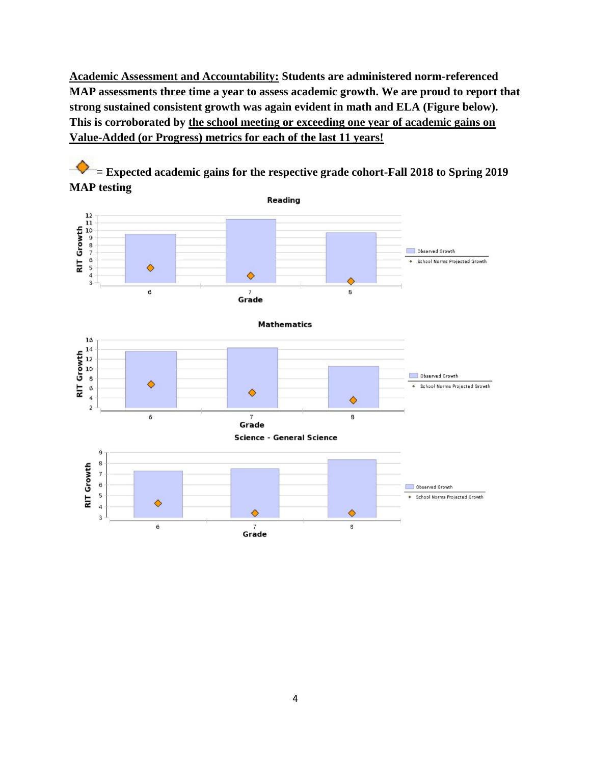**Academic Assessment and Accountability: Students are administered norm-referenced MAP assessments three time a year to assess academic growth. We are proud to report that strong sustained consistent growth was again evident in math and ELA (Figure below). This is corroborated by the school meeting or exceeding one year of academic gains on Value-Added (or Progress) metrics for each of the last 11 years!**

**= Expected academic gains for the respective grade cohort-Fall 2018 to Spring 2019 MAP testing**